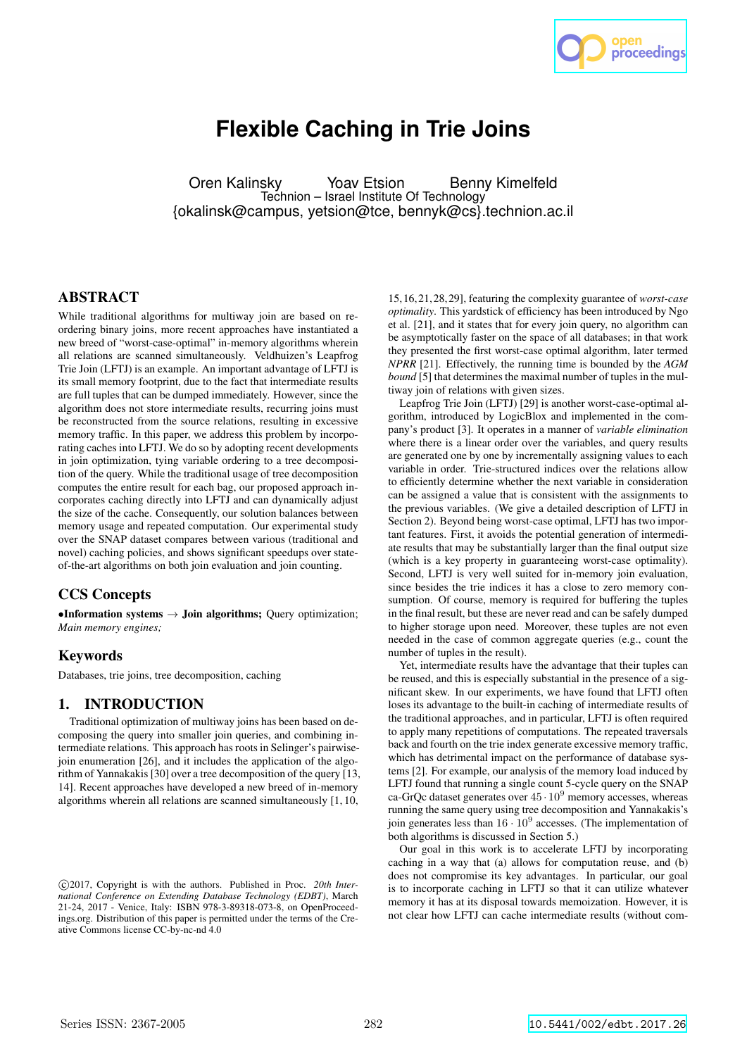

# **Flexible Caching in Trie Joins**

Oren Kalinsky Yoav Etsion Benny Kimelfeld Technion – Israel Institute Of Technology {okalinsk@campus, yetsion@tce, bennyk@cs}.technion.ac.il

# **ABSTRACT**

While traditional algorithms for multiway join are based on reordering binary joins, more recent approaches have instantiated a new breed of "worst-case-optimal" in-memory algorithms wherein all relations are scanned simultaneously. Veldhuizen's Leapfrog Trie Join (LFTJ) is an example. An important advantage of LFTJ is its small memory footprint, due to the fact that intermediate results are full tuples that can be dumped immediately. However, since the algorithm does not store intermediate results, recurring joins must be reconstructed from the source relations, resulting in excessive memory traffic. In this paper, we address this problem by incorporating caches into LFTJ. We do so by adopting recent developments in join optimization, tying variable ordering to a tree decomposition of the query. While the traditional usage of tree decomposition computes the entire result for each bag, our proposed approach incorporates caching directly into LFTJ and can dynamically adjust the size of the cache. Consequently, our solution balances between memory usage and repeated computation. Our experimental study over the SNAP dataset compares between various (traditional and novel) caching policies, and shows significant speedups over stateof-the-art algorithms on both join evaluation and join counting.

# CCS Concepts

•Information systems  $\rightarrow$  Join algorithms; Query optimization; *Main memory engines;*

# Keywords

Databases, trie joins, tree decomposition, caching

# 1. INTRODUCTION

Traditional optimization of multiway joins has been based on decomposing the query into smaller join queries, and combining intermediate relations. This approach has roots in Selinger's pairwisejoin enumeration [26], and it includes the application of the algorithm of Yannakakis [30] over a tree decomposition of the query [13, 14]. Recent approaches have developed a new breed of in-memory algorithms wherein all relations are scanned simultaneously [1, 10,

15,16,21,28,29], featuring the complexity guarantee of *worst-case optimality*. This yardstick of efficiency has been introduced by Ngo et al. [21], and it states that for every join query, no algorithm can be asymptotically faster on the space of all databases; in that work they presented the first worst-case optimal algorithm, later termed *NPRR* [21]. Effectively, the running time is bounded by the *AGM bound* [5] that determines the maximal number of tuples in the multiway join of relations with given sizes.

Leapfrog Trie Join (LFTJ) [29] is another worst-case-optimal algorithm, introduced by LogicBlox and implemented in the company's product [3]. It operates in a manner of *variable elimination* where there is a linear order over the variables, and query results are generated one by one by incrementally assigning values to each variable in order. Trie-structured indices over the relations allow to efficiently determine whether the next variable in consideration can be assigned a value that is consistent with the assignments to the previous variables. (We give a detailed description of LFTJ in Section 2). Beyond being worst-case optimal, LFTJ has two important features. First, it avoids the potential generation of intermediate results that may be substantially larger than the final output size (which is a key property in guaranteeing worst-case optimality). Second, LFTJ is very well suited for in-memory join evaluation, since besides the trie indices it has a close to zero memory consumption. Of course, memory is required for buffering the tuples in the final result, but these are never read and can be safely dumped to higher storage upon need. Moreover, these tuples are not even needed in the case of common aggregate queries (e.g., count the number of tuples in the result).

Yet, intermediate results have the advantage that their tuples can be reused, and this is especially substantial in the presence of a significant skew. In our experiments, we have found that LFTJ often loses its advantage to the built-in caching of intermediate results of the traditional approaches, and in particular, LFTJ is often required to apply many repetitions of computations. The repeated traversals back and fourth on the trie index generate excessive memory traffic, which has detrimental impact on the performance of database systems [2]. For example, our analysis of the memory load induced by LFTJ found that running a single count 5-cycle query on the SNAP ca-GrQc dataset generates over  $45 \cdot 10^9$  memory accesses, whereas running the same query using tree decomposition and Yannakakis's join generates less than  $16 \cdot 10^9$  accesses. (The implementation of both algorithms is discussed in Section 5.)

Our goal in this work is to accelerate LFTJ by incorporating caching in a way that (a) allows for computation reuse, and (b) does not compromise its key advantages. In particular, our goal is to incorporate caching in LFTJ so that it can utilize whatever memory it has at its disposal towards memoization. However, it is not clear how LFTJ can cache intermediate results (without com-

c 2017, Copyright is with the authors. Published in Proc. *20th International Conference on Extending Database Technology (EDBT)*, March 21-24, 2017 - Venice, Italy: ISBN 978-3-89318-073-8, on OpenProceedings.org. Distribution of this paper is permitted under the terms of the Creative Commons license CC-by-nc-nd 4.0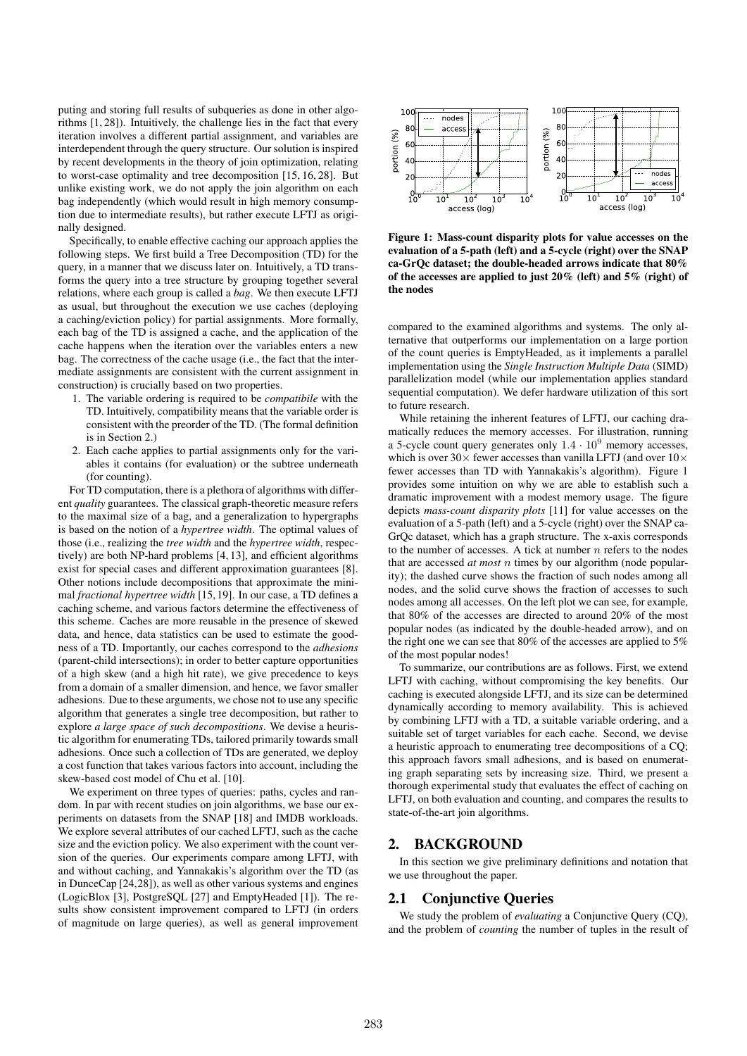puting and storing full results of subqueries as done in other algorithms [1, 28]). Intuitively, the challenge lies in the fact that every iteration involves a different partial assignment, and variables are interdependent through the query structure. Our solution is inspired by recent developments in the theory of join optimization, relating to worst-case optimality and tree decomposition [15, 16, 28]. But unlike existing work, we do not apply the join algorithm on each bag independently (which would result in high memory consumption due to intermediate results), but rather execute LFTJ as originally designed.

Specifically, to enable effective caching our approach applies the following steps. We first build a Tree Decomposition (TD) for the query, in a manner that we discuss later on. Intuitively, a TD transforms the query into a tree structure by grouping together several relations, where each group is called a *bag*. We then execute LFTJ as usual, but throughout the execution we use caches (deploying a caching/eviction policy) for partial assignments. More formally, each bag of the TD is assigned a cache, and the application of the cache happens when the iteration over the variables enters a new bag. The correctness of the cache usage (i.e., the fact that the intermediate assignments are consistent with the current assignment in construction) is crucially based on two properties.

- 1. The variable ordering is required to be *compatibile* with the TD. Intuitively, compatibility means that the variable order is consistent with the preorder of the TD. (The formal definition is in Section 2.)
- 2. Each cache applies to partial assignments only for the variables it contains (for evaluation) or the subtree underneath (for counting).

For TD computation, there is a plethora of algorithms with different *quality* guarantees. The classical graph-theoretic measure refers to the maximal size of a bag, and a generalization to hypergraphs is based on the notion of a *hypertree width*. The optimal values of those (i.e., realizing the *tree width* and the *hypertree width*, respectively) are both NP-hard problems [4, 13], and efficient algorithms exist for special cases and different approximation guarantees [8]. Other notions include decompositions that approximate the minimal *fractional hypertree width* [15, 19]. In our case, a TD defines a caching scheme, and various factors determine the effectiveness of this scheme. Caches are more reusable in the presence of skewed data, and hence, data statistics can be used to estimate the goodness of a TD. Importantly, our caches correspond to the *adhesions* (parent-child intersections); in order to better capture opportunities of a high skew (and a high hit rate), we give precedence to keys from a domain of a smaller dimension, and hence, we favor smaller adhesions. Due to these arguments, we chose not to use any specific algorithm that generates a single tree decomposition, but rather to explore *a large space of such decompositions*. We devise a heuristic algorithm for enumerating TDs, tailored primarily towards small adhesions. Once such a collection of TDs are generated, we deploy a cost function that takes various factors into account, including the skew-based cost model of Chu et al. [10].

We experiment on three types of queries: paths, cycles and random. In par with recent studies on join algorithms, we base our experiments on datasets from the SNAP [18] and IMDB workloads. We explore several attributes of our cached LFTJ, such as the cache size and the eviction policy. We also experiment with the count version of the queries. Our experiments compare among LFTJ, with and without caching, and Yannakakis's algorithm over the TD (as in DunceCap [24,28]), as well as other various systems and engines (LogicBlox [3], PostgreSQL [27] and EmptyHeaded [1]). The results show consistent improvement compared to LFTJ (in orders of magnitude on large queries), as well as general improvement



Figure 1: Mass-count disparity plots for value accesses on the evaluation of a 5-path (left) and a 5-cycle (right) over the SNAP ca-GrQc dataset; the double-headed arrows indicate that 80% of the accesses are applied to just  $20\%$  (left) and  $5\%$  (right) of the nodes

compared to the examined algorithms and systems. The only alternative that outperforms our implementation on a large portion of the count queries is EmptyHeaded, as it implements a parallel implementation using the *Single Instruction Multiple Data* (SIMD) parallelization model (while our implementation applies standard sequential computation). We defer hardware utilization of this sort to future research.

While retaining the inherent features of LFTJ, our caching dramatically reduces the memory accesses. For illustration, running a 5-cycle count query generates only  $1.4 \cdot 10^9$  memory accesses, which is over  $30\times$  fewer accesses than vanilla LFTJ (and over  $10\times$ fewer accesses than TD with Yannakakis's algorithm). Figure 1 provides some intuition on why we are able to establish such a dramatic improvement with a modest memory usage. The figure depicts *mass-count disparity plots* [11] for value accesses on the evaluation of a 5-path (left) and a 5-cycle (right) over the SNAP ca-GrQc dataset, which has a graph structure. The x-axis corresponds to the number of accesses. A tick at number  $n$  refers to the nodes that are accessed *at most* n times by our algorithm (node popularity); the dashed curve shows the fraction of such nodes among all nodes, and the solid curve shows the fraction of accesses to such nodes among all accesses. On the left plot we can see, for example, that 80% of the accesses are directed to around 20% of the most popular nodes (as indicated by the double-headed arrow), and on the right one we can see that 80% of the accesses are applied to 5% of the most popular nodes!

To summarize, our contributions are as follows. First, we extend LFTJ with caching, without compromising the key benefits. Our caching is executed alongside LFTJ, and its size can be determined dynamically according to memory availability. This is achieved by combining LFTJ with a TD, a suitable variable ordering, and a suitable set of target variables for each cache. Second, we devise a heuristic approach to enumerating tree decompositions of a CQ; this approach favors small adhesions, and is based on enumerating graph separating sets by increasing size. Third, we present a thorough experimental study that evaluates the effect of caching on LFTJ, on both evaluation and counting, and compares the results to state-of-the-art join algorithms.

# 2. BACKGROUND

In this section we give preliminary definitions and notation that we use throughout the paper.

## 2.1 Conjunctive Queries

We study the problem of *evaluating* a Conjunctive Ouery (CO), and the problem of *counting* the number of tuples in the result of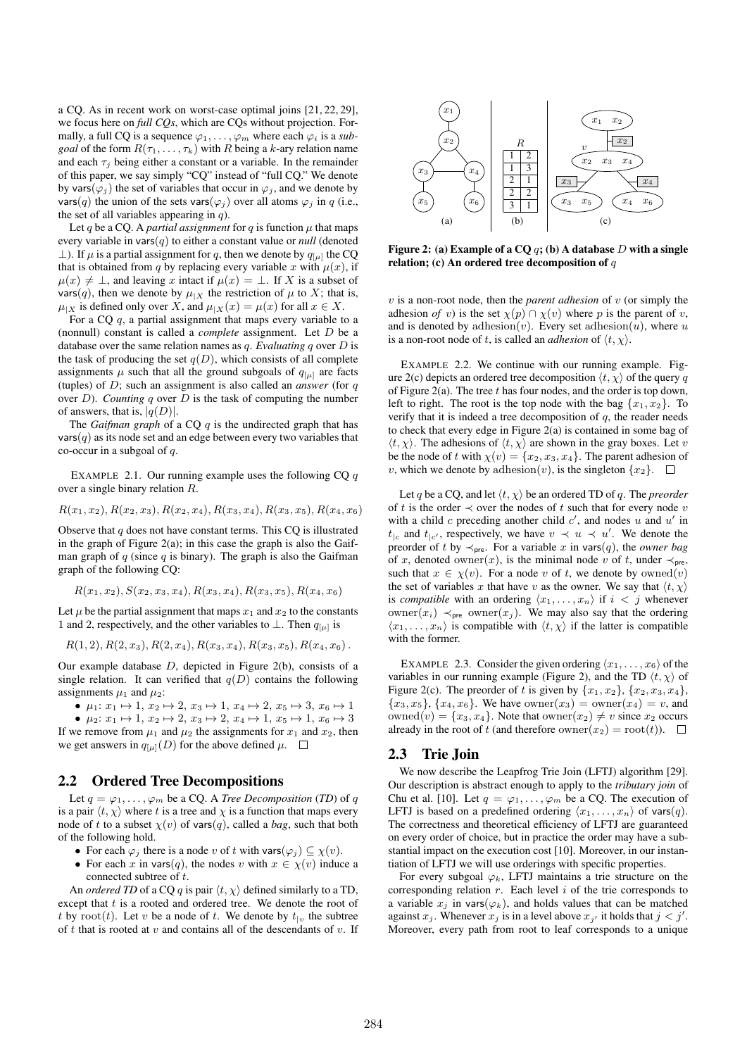a CQ. As in recent work on worst-case optimal joins [21, 22, 29], we focus here on *full CQs*, which are CQs without projection. Formally, a full CQ is a sequence  $\varphi_1, \ldots, \varphi_m$  where each  $\varphi_i$  is a *subgoal* of the form  $R(\tau_1, \ldots, \tau_k)$  with R being a k-ary relation name and each  $\tau_i$  being either a constant or a variable. In the remainder of this paper, we say simply "CQ" instead of "full CQ." We denote by vars( $\varphi_i$ ) the set of variables that occur in  $\varphi_i$ , and we denote by vars(q) the union of the sets vars( $\varphi_j$ ) over all atoms  $\varphi_j$  in q (i.e., the set of all variables appearing in  $q$ ).

Let q be a CQ. A *partial assignment* for q is function  $\mu$  that maps every variable in vars $(q)$  to either a constant value or *null* (denoted ⊥). If  $\mu$  is a partial assignment for q, then we denote by  $q_{\mu}$  the CQ that is obtained from q by replacing every variable x with  $\mu(x)$ , if  $\mu(x) \neq \bot$ , and leaving x intact if  $\mu(x) = \bot$ . If X is a subset of vars(q), then we denote by  $\mu_{|X}$  the restriction of  $\mu$  to X; that is,  $\mu_{|X}$  is defined only over X, and  $\mu_{|X}(x) = \mu(x)$  for all  $x \in X$ .

For a CQ  $q$ , a partial assignment that maps every variable to a (nonnull) constant is called a *complete* assignment. Let D be a database over the same relation names as q. *Evaluating* q over D is the task of producing the set  $q(D)$ , which consists of all complete assignments  $\mu$  such that all the ground subgoals of  $q_{[\mu]}$  are facts (tuples) of D; such an assignment is also called an *answer* (for q over  $D$ ). *Counting*  $q$  over  $D$  is the task of computing the number of answers, that is,  $|q(D)|$ .

The *Gaifman graph* of a CQ q is the undirected graph that has  $vars(q)$  as its node set and an edge between every two variables that co-occur in a subgoal of  $a$ .

EXAMPLE 2.1. Our running example uses the following  $CQq$ over a single binary relation R.

$$
R(x_1,x_2), R(x_2,x_3), R(x_2,x_4), R(x_3,x_4), R(x_3,x_5), R(x_4,x_6)
$$

Observe that  $q$  does not have constant terms. This CO is illustrated in the graph of Figure  $2(a)$ ; in this case the graph is also the Gaifman graph of  $q$  (since  $q$  is binary). The graph is also the Gaifman graph of the following CQ:

$$
R(x_1, x_2), S(x_2, x_3, x_4), R(x_3, x_4), R(x_3, x_5), R(x_4, x_6)
$$

Let  $\mu$  be the partial assignment that maps  $x_1$  and  $x_2$  to the constants 1 and 2, respectively, and the other variables to  $\perp$ . Then  $q_{\mu}$  is

$$
R(1, 2), R(2, x_3), R(2, x_4), R(x_3, x_4), R(x_3, x_5), R(x_4, x_6)
$$
.

Our example database  $D$ , depicted in Figure 2(b), consists of a single relation. It can verified that  $q(D)$  contains the following assignments  $\mu_1$  and  $\mu_2$ :

•  $\mu_1: x_1 \mapsto 1, x_2 \mapsto 2, x_3 \mapsto 1, x_4 \mapsto 2, x_5 \mapsto 3, x_6 \mapsto 1$ 

•  $\mu_2: x_1 \mapsto 1, x_2 \mapsto 2, x_3 \mapsto 2, x_4 \mapsto 1, x_5 \mapsto 1, x_6 \mapsto 3$ If we remove from  $\mu_1$  and  $\mu_2$  the assignments for  $x_1$  and  $x_2$ , then we get answers in  $q_{\mu}$ [D] for the above defined  $\mu$ .  $\Box$ 

# 2.2 Ordered Tree Decompositions

Let  $q = \varphi_1, \ldots, \varphi_m$  be a CQ. A *Tree Decomposition* (*TD*) of q is a pair  $\langle t, \chi \rangle$  where t is a tree and  $\chi$  is a function that maps every node of t to a subset  $\chi(v)$  of vars $(q)$ , called a *bag*, such that both of the following hold.

- For each  $\varphi_i$  there is a node v of t with vars $(\varphi_i) \subseteq \chi(v)$ .
- For each x in vars $(q)$ , the nodes v with  $x \in \chi(v)$  induce a connected subtree of t.

An *ordered TD* of a CQ q is pair  $\langle t, \chi \rangle$  defined similarly to a TD, except that  $t$  is a rooted and ordered tree. We denote the root of t by root(t). Let v be a node of t. We denote by  $t_{1v}$  the subtree of t that is rooted at v and contains all of the descendants of v. If



Figure 2: (a) Example of a CQ  $q$ ; (b) A database D with a single relation; (c) An ordered tree decomposition of  $q$ 

 $v$  is a non-root node, then the *parent adhesion* of  $v$  (or simply the adhesion *of* v) is the set  $\chi(p) \cap \chi(v)$  where p is the parent of v, and is denoted by adhesion $(v)$ . Every set adhesion $(u)$ , where u is a non-root node of t, is called an *adhesion* of  $\langle t, \chi \rangle$ .

EXAMPLE 2.2. We continue with our running example. Figure 2(c) depicts an ordered tree decomposition  $\langle t, \chi \rangle$  of the query q of Figure 2(a). The tree  $t$  has four nodes, and the order is top down, left to right. The root is the top node with the bag  $\{x_1, x_2\}$ . To verify that it is indeed a tree decomposition of  $q$ , the reader needs to check that every edge in Figure 2(a) is contained in some bag of  $\langle t, \chi \rangle$ . The adhesions of  $\langle t, \chi \rangle$  are shown in the gray boxes. Let v be the node of t with  $\chi(v) = \{x_2, x_3, x_4\}$ . The parent adhesion of v, which we denote by adhesion $(v)$ , is the singleton  $\{x_2\}$ .  $\Box$ 

Let q be a CQ, and let  $\langle t, \chi \rangle$  be an ordered TD of q. The *preorder* of t is the order  $\prec$  over the nodes of t such that for every node v with a child  $c$  preceding another child  $c'$ , and nodes u and u' in  $t_{\parallel c}$  and  $t_{\parallel c'}$ , respectively, we have  $v \prec u \prec u'$ . We denote the preorder of t by  $\prec_{pre}$ . For a variable x in vars(q), the *owner bag* of x, denoted owner(x), is the minimal node v of t, under  $\prec_{pre}$ , such that  $x \in \chi(v)$ . For a node v of t, we denote by owned(v) the set of variables x that have v as the owner. We say that  $\langle t, \chi \rangle$ is *compatible* with an ordering  $\langle x_1, \ldots, x_n \rangle$  if  $i < j$  whenever owner( $x_i$ )  $\prec_{\text{pre}}$  owner( $x_j$ ). We may also say that the ordering  $\langle x_1, \ldots, x_n \rangle$  is compatible with  $\langle t, \chi \rangle$  if the latter is compatible with the former.

EXAMPLE 2.3. Consider the given ordering  $\langle x_1, \ldots, x_6 \rangle$  of the variables in our running example (Figure 2), and the TD  $\langle t, \chi \rangle$  of Figure 2(c). The preorder of t is given by  $\{x_1, x_2\}$ ,  $\{x_2, x_3, x_4\}$ ,  ${x_3, x_5}$ ,  ${x_4, x_6}$ . We have owner $(x_3)$  = owner $(x_4)$  = v, and owned $(v) = \{x_3, x_4\}$ . Note that owner $(x_2) \neq v$  since  $x_2$  occurs already in the root of t (and therefore owner $(x_2) = \text{root}(t)$ ).  $\Box$ 

## 2.3 Trie Join

We now describe the Leapfrog Trie Join (LFTJ) algorithm [29]. Our description is abstract enough to apply to the *tributary join* of Chu et al. [10]. Let  $q = \varphi_1, \ldots, \varphi_m$  be a CQ. The execution of LFTJ is based on a predefined ordering  $\langle x_1, \ldots, x_n \rangle$  of vars $(q)$ . The correctness and theoretical efficiency of LFTJ are guaranteed on every order of choice, but in practice the order may have a substantial impact on the execution cost [10]. Moreover, in our instantiation of LFTJ we will use orderings with specific properties.

For every subgoal  $\varphi_k$ , LFTJ maintains a trie structure on the corresponding relation  $r$ . Each level  $i$  of the trie corresponds to a variable  $x_i$  in vars( $\varphi_k$ ), and holds values that can be matched against  $x_j$ . Whenever  $x_j$  is in a level above  $x_{j'}$  it holds that  $j < j'$ . Moreover, every path from root to leaf corresponds to a unique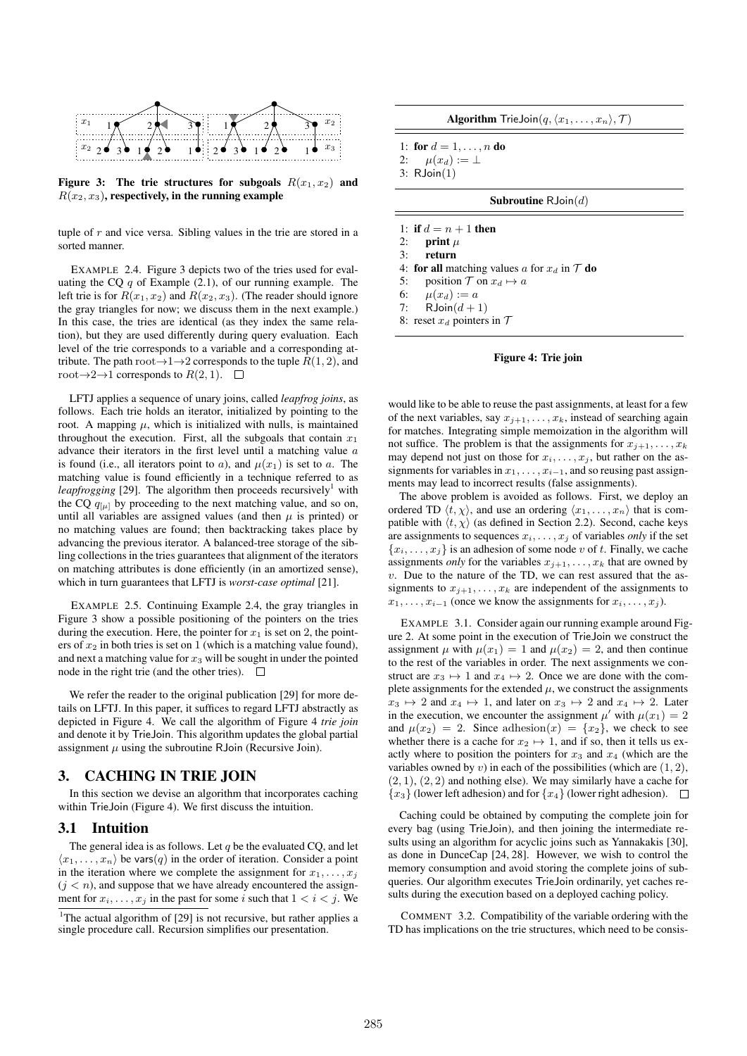



tuple of  $r$  and vice versa. Sibling values in the trie are stored in a sorted manner.

EXAMPLE 2.4. Figure 3 depicts two of the tries used for evaluating the CQ  $q$  of Example (2.1), of our running example. The left trie is for  $R(x_1, x_2)$  and  $R(x_2, x_3)$ . (The reader should ignore the gray triangles for now; we discuss them in the next example.) In this case, the tries are identical (as they index the same relation), but they are used differently during query evaluation. Each level of the trie corresponds to a variable and a corresponding attribute. The path root $\rightarrow$ 1 $\rightarrow$ 2 corresponds to the tuple  $R(1, 2)$ , and root $\rightarrow$ 2 $\rightarrow$ 1 corresponds to  $R(2, 1)$ .  $\Box$ 

LFTJ applies a sequence of unary joins, called *leapfrog joins*, as follows. Each trie holds an iterator, initialized by pointing to the root. A mapping  $\mu$ , which is initialized with nulls, is maintained throughout the execution. First, all the subgoals that contain  $x_1$ advance their iterators in the first level until a matching value a is found (i.e., all iterators point to a), and  $\mu(x_1)$  is set to a. The matching value is found efficiently in a technique referred to as *leapfrogging* [29]. The algorithm then proceeds recursively<sup>1</sup> with the CQ  $q_{[\mu]}$  by proceeding to the next matching value, and so on, until all variables are assigned values (and then  $\mu$  is printed) or no matching values are found; then backtracking takes place by advancing the previous iterator. A balanced-tree storage of the sibling collections in the tries guarantees that alignment of the iterators on matching attributes is done efficiently (in an amortized sense), which in turn guarantees that LFTJ is *worst-case optimal* [21].

EXAMPLE 2.5. Continuing Example 2.4, the gray triangles in Figure 3 show a possible positioning of the pointers on the tries during the execution. Here, the pointer for  $x_1$  is set on 2, the pointers of  $x_2$  in both tries is set on 1 (which is a matching value found), and next a matching value for  $x_3$  will be sought in under the pointed node in the right trie (and the other tries).  $\Box$ 

We refer the reader to the original publication [29] for more details on LFTJ. In this paper, it suffices to regard LFTJ abstractly as depicted in Figure 4. We call the algorithm of Figure 4 *trie join* and denote it by TrieJoin. This algorithm updates the global partial assignment  $\mu$  using the subroutine RJoin (Recursive Join).

# 3. CACHING IN TRIE JOIN

In this section we devise an algorithm that incorporates caching within TrieJoin (Figure 4). We first discuss the intuition.

## 3.1 Intuition

The general idea is as follows. Let  $q$  be the evaluated CQ, and let  $\langle x_1, \ldots, x_n \rangle$  be vars $(q)$  in the order of iteration. Consider a point in the iteration where we complete the assignment for  $x_1, \ldots, x_i$  $(j < n)$ , and suppose that we have already encountered the assignment for  $x_i, \ldots, x_j$  in the past for some i such that  $1 < i < j$ . We

Algorithm TrieJoin $(q, \langle x_1, \ldots, x_n \rangle, \mathcal{T} )$ 

1: for  $d = 1, ..., n$  do 2:  $\mu(x_d) := \perp$ 3: RJoin(1)

# Subroutine  $\mathsf{RJoin}(d)$

1: if  $d = n + 1$  then 2: print  $\mu$ 3: return 4: for all matching values a for  $x_d$  in  $\mathcal T$  do 5: position  $\mathcal T$  on  $x_d \mapsto a$ 6:  $\mu(x_d) := a$ 7: RJoin $(d+1)$ 8: reset  $x_d$  pointers in  $\mathcal T$ 

#### Figure 4: Trie join

would like to be able to reuse the past assignments, at least for a few of the next variables, say  $x_{j+1}, \ldots, x_k$ , instead of searching again for matches. Integrating simple memoization in the algorithm will not suffice. The problem is that the assignments for  $x_{j+1}, \ldots, x_k$ may depend not just on those for  $x_i, \ldots, x_j$ , but rather on the assignments for variables in  $x_1, \ldots, x_{i-1}$ , and so reusing past assignments may lead to incorrect results (false assignments).

The above problem is avoided as follows. First, we deploy an ordered TD  $\langle t, \chi \rangle$ , and use an ordering  $\langle x_1, \ldots, x_n \rangle$  that is compatible with  $\langle t, \chi \rangle$  (as defined in Section 2.2). Second, cache keys are assignments to sequences  $x_i, \ldots, x_j$  of variables *only* if the set  ${x_i, \ldots, x_j}$  is an adhesion of some node v of t. Finally, we cache assignments *only* for the variables  $x_{i+1}, \ldots, x_k$  that are owned by  $v$ . Due to the nature of the TD, we can rest assured that the assignments to  $x_{j+1}, \ldots, x_k$  are independent of the assignments to  $x_1, \ldots, x_{i-1}$  (once we know the assignments for  $x_i, \ldots, x_i$ ).

EXAMPLE 3.1. Consider again our running example around Figure 2. At some point in the execution of TrieJoin we construct the assignment  $\mu$  with  $\mu(x_1) = 1$  and  $\mu(x_2) = 2$ , and then continue to the rest of the variables in order. The next assignments we construct are  $x_3 \mapsto 1$  and  $x_4 \mapsto 2$ . Once we are done with the complete assignments for the extended  $\mu$ , we construct the assignments  $x_3 \mapsto 2$  and  $x_4 \mapsto 1$ , and later on  $x_3 \mapsto 2$  and  $x_4 \mapsto 2$ . Later in the execution, we encounter the assignment  $\mu'$  with  $\mu(x_1) = 2$ and  $\mu(x_2) = 2$ . Since adhesion(x) = {x<sub>2</sub>}, we check to see whether there is a cache for  $x_2 \mapsto 1$ , and if so, then it tells us exactly where to position the pointers for  $x_3$  and  $x_4$  (which are the variables owned by v) in each of the possibilities (which are  $(1, 2)$ ,  $(2, 1), (2, 2)$  and nothing else). We may similarly have a cache for  ${x_3}$  (lower left adhesion) and for  ${x_4}$  (lower right adhesion).  $\square$ 

Caching could be obtained by computing the complete join for every bag (using TrieJoin), and then joining the intermediate results using an algorithm for acyclic joins such as Yannakakis [30], as done in DunceCap [24, 28]. However, we wish to control the memory consumption and avoid storing the complete joins of subqueries. Our algorithm executes TrieJoin ordinarily, yet caches results during the execution based on a deployed caching policy.

COMMENT 3.2. Compatibility of the variable ordering with the TD has implications on the trie structures, which need to be consis-

<sup>&</sup>lt;sup>1</sup>The actual algorithm of  $[29]$  is not recursive, but rather applies a single procedure call. Recursion simplifies our presentation.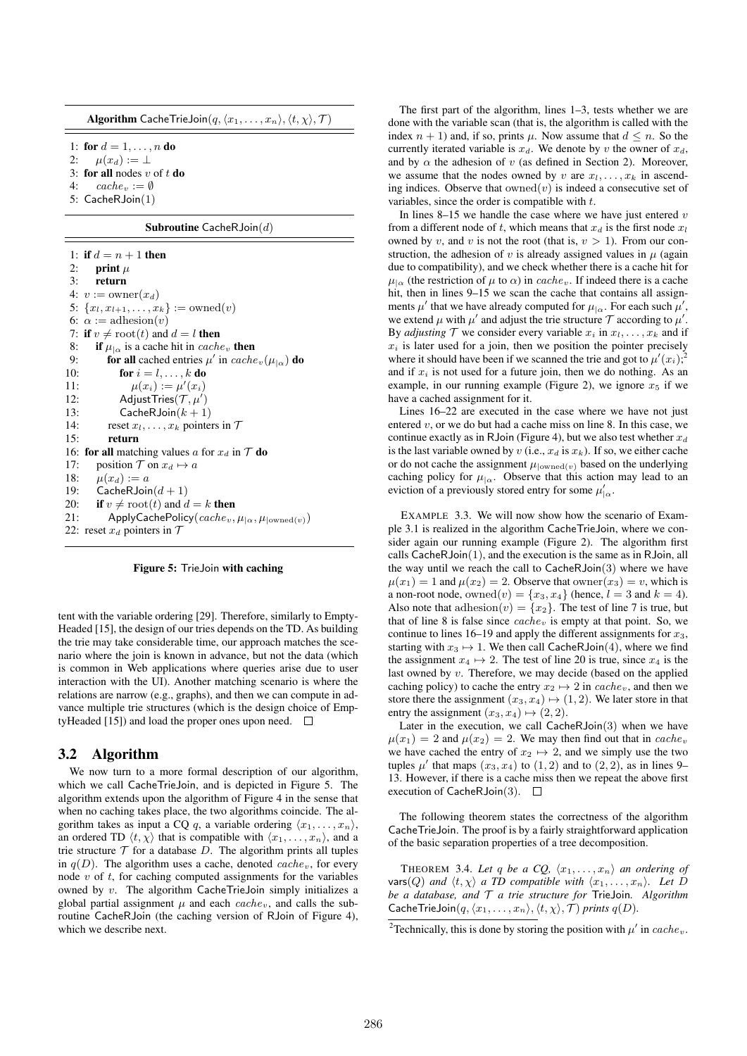**Algorithm CacheTrieJoin** $(q, \langle x_1, \ldots, x_n \rangle, \langle t, \chi \rangle, \mathcal{T} )$ 

1: for  $d = 1, \ldots, n$  do

- 2:  $\mu(x_d) := \perp$
- 3: for all nodes  $v$  of  $t$  do
- 4:  $cache_v := \emptyset$
- 5: CacheRJoin(1)

#### Subroutine CacheRJoin $(d)$

1: if  $d = n + 1$  then 2: print  $\mu$ 3: return 4:  $v := \text{owner}(x_d)$ 5:  $\{x_l, x_{l+1}, \ldots, x_k\} := \text{owned}(v)$ 6:  $\alpha := \text{adhesion}(v)$ 7: if  $v \neq \text{root}(t)$  and  $d = l$  then 8: if  $\mu_{\alpha}$  is a cache hit in *cache* then 9: for all cached entries  $\mu'$  in  $cache_v(\mu_{|\alpha})$  do 10: **for**  $i = l, \ldots, k$  **do** 11:  $\mu(x_i) := \mu'(x_i)$ 12: AdjustTries $(\mathcal{T}, \mu')$ 13: CacheRJoin $(k + 1)$ 14: reset  $x_l, \ldots, x_k$  pointers in  $\mathcal T$ 15: return 16: for all matching values a for  $x_d$  in  $\mathcal T$  do 17: position  $\mathcal T$  on  $x_d \mapsto a$ 18:  $\mu(x_d) := a$ 19: CacheRJoin $(d+1)$ <br>20: **if**  $v \neq \text{root}(t)$  and d if  $v \neq \text{root}(t)$  and  $d = k$  then 21: ApplyCachePolicy $\left(\textit{cache}_v, \mu_{\alpha}, \mu_{\text{lower}(v)}\right)$ 22: reset  $x_d$  pointers in  $\mathcal T$ 

#### Figure 5: TrieJoin with caching

tent with the variable ordering [29]. Therefore, similarly to Empty-Headed [15], the design of our tries depends on the TD. As building the trie may take considerable time, our approach matches the scenario where the join is known in advance, but not the data (which is common in Web applications where queries arise due to user interaction with the UI). Another matching scenario is where the relations are narrow (e.g., graphs), and then we can compute in advance multiple trie structures (which is the design choice of EmptyHeaded [15]) and load the proper ones upon need.  $\Box$ 

## 3.2 Algorithm

We now turn to a more formal description of our algorithm, which we call CacheTrieJoin, and is depicted in Figure 5. The algorithm extends upon the algorithm of Figure 4 in the sense that when no caching takes place, the two algorithms coincide. The algorithm takes as input a CQ q, a variable ordering  $\langle x_1, \ldots, x_n \rangle$ , an ordered TD  $\langle t, \chi \rangle$  that is compatible with  $\langle x_1, \ldots, x_n \rangle$ , and a trie structure  $T$  for a database  $D$ . The algorithm prints all tuples in  $q(D)$ . The algorithm uses a cache, denoted *cache<sub>v</sub>*, for every node  $v$  of  $t$ , for caching computed assignments for the variables owned by v. The algorithm CacheTrieJoin simply initializes a global partial assignment  $\mu$  and each cache<sub>v</sub>, and calls the subroutine CacheRJoin (the caching version of RJoin of Figure 4), which we describe next.

The first part of the algorithm, lines 1–3, tests whether we are done with the variable scan (that is, the algorithm is called with the index  $n + 1$ ) and, if so, prints  $\mu$ . Now assume that  $d \leq n$ . So the currently iterated variable is  $x_d$ . We denote by v the owner of  $x_d$ , and by  $\alpha$  the adhesion of v (as defined in Section 2). Moreover, we assume that the nodes owned by v are  $x_1, \ldots, x_k$  in ascending indices. Observe that  $owned(v)$  is indeed a consecutive set of variables, since the order is compatible with t.

In lines  $8-15$  we handle the case where we have just entered v from a different node of t, which means that  $x_d$  is the first node  $x_l$ owned by v, and v is not the root (that is,  $v > 1$ ). From our construction, the adhesion of v is already assigned values in  $\mu$  (again due to compatibility), and we check whether there is a cache hit for  $\mu_{\alpha}$  (the restriction of  $\mu$  to  $\alpha$ ) in cache<sub>v</sub>. If indeed there is a cache hit, then in lines 9–15 we scan the cache that contains all assignments  $\mu'$  that we have already computed for  $\mu_{\alpha}$ . For each such  $\mu'$ , we extend  $\mu$  with  $\mu'$  and adjust the trie structure  $\mathcal T$  according to  $\mu'$ . By *adjusting*  $\mathcal T$  we consider every variable  $x_i$  in  $x_1, \ldots, x_k$  and if  $x_i$  is later used for a join, then we position the pointer precisely where it should have been if we scanned the trie and got to  $\mu'(x_i)$ ; and if  $x_i$  is not used for a future join, then we do nothing. As an example, in our running example (Figure 2), we ignore  $x_5$  if we have a cached assignment for it.

Lines 16–22 are executed in the case where we have not just entered  $v$ , or we do but had a cache miss on line 8. In this case, we continue exactly as in RJoin (Figure 4), but we also test whether  $x_d$ is the last variable owned by v (i.e.,  $x_d$  is  $x_k$ ). If so, we either cache or do not cache the assignment  $\mu_{\text{lower}(\nu)}$  based on the underlying caching policy for  $\mu_{\alpha}$ . Observe that this action may lead to an eviction of a previously stored entry for some  $\mu'_{\alpha}$ .

EXAMPLE 3.3. We will now show how the scenario of Example 3.1 is realized in the algorithm CacheTrieJoin, where we consider again our running example (Figure 2). The algorithm first calls CacheRJoin(1), and the execution is the same as in RJoin, all the way until we reach the call to  $\mathsf{CacheRJoin}(3)$  where we have  $\mu(x_1) = 1$  and  $\mu(x_2) = 2$ . Observe that owner $(x_3) = v$ , which is a non-root node, owned $(v) = \{x_3, x_4\}$  (hence,  $l = 3$  and  $k = 4$ ). Also note that adhesion $(v) = \{x_2\}$ . The test of line 7 is true, but that of line 8 is false since  $cache_v$  is empty at that point. So, we continue to lines 16–19 and apply the different assignments for  $x_3$ , starting with  $x_3 \mapsto 1$ . We then call CacheRJoin(4), where we find the assignment  $x_4 \mapsto 2$ . The test of line 20 is true, since  $x_4$  is the last owned by  $v$ . Therefore, we may decide (based on the applied caching policy) to cache the entry  $x_2 \mapsto 2$  in  $cache_v$ , and then we store there the assignment  $(x_3, x_4) \mapsto (1, 2)$ . We later store in that entry the assignment  $(x_3, x_4) \mapsto (2, 2)$ .

Later in the execution, we call CacheRJoin(3) when we have  $\mu(x_1) = 2$  and  $\mu(x_2) = 2$ . We may then find out that in cache<sub>v</sub> we have cached the entry of  $x_2 \mapsto 2$ , and we simply use the two tuples  $\mu'$  that maps  $(x_3, x_4)$  to  $(1, 2)$  and to  $(2, 2)$ , as in lines 9-13. However, if there is a cache miss then we repeat the above first execution of CacheRJoin(3).  $\square$ 

The following theorem states the correctness of the algorithm CacheTrieJoin. The proof is by a fairly straightforward application of the basic separation properties of a tree decomposition.

THEOREM 3.4. Let q be a CQ,  $\langle x_1, \ldots, x_n \rangle$  an ordering of vars(Q) and  $\langle t, \chi \rangle$  *a TD compatible with*  $\langle x_1, \ldots, x_n \rangle$ . Let D *be a database, and* T *a trie structure for* TrieJoin*. Algorithm* CacheTrieJoin $(q, \langle x_1, \ldots, x_n \rangle, \langle t, \chi \rangle, \mathcal{T} )$  *prints*  $q(D)$ *.* 

<sup>&</sup>lt;sup>2</sup>Technically, this is done by storing the position with  $\mu'$  in cache<sub>v</sub>.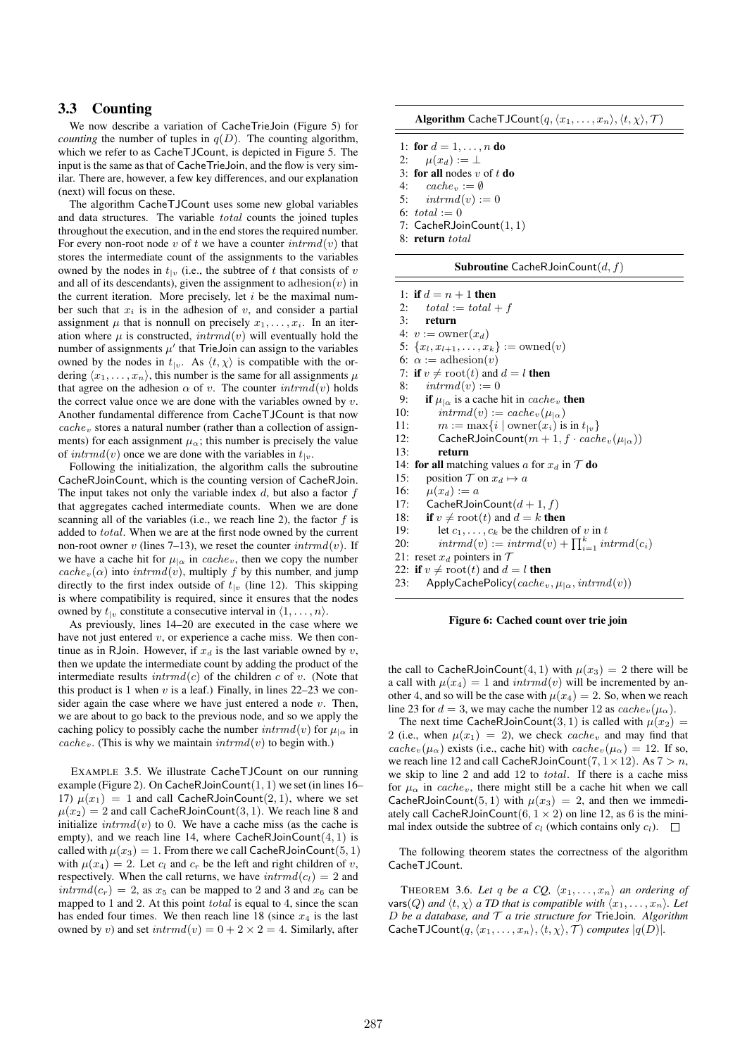# 3.3 Counting

We now describe a variation of CacheTrieJoin (Figure 5) for *counting* the number of tuples in  $q(D)$ . The counting algorithm, which we refer to as CacheTJCount, is depicted in Figure 5. The input is the same as that of CacheTrieJoin, and the flow is very similar. There are, however, a few key differences, and our explanation (next) will focus on these.

The algorithm CacheTJCount uses some new global variables and data structures. The variable total counts the joined tuples throughout the execution, and in the end stores the required number. For every non-root node v of t we have a counter  $\text{intrnd}(v)$  that stores the intermediate count of the assignments to the variables owned by the nodes in  $t_{1v}$  (i.e., the subtree of t that consists of v and all of its descendants), given the assignment to adhesion $(v)$  in the current iteration. More precisely, let  $i$  be the maximal number such that  $x_i$  is in the adhesion of  $v$ , and consider a partial assignment  $\mu$  that is nonnull on precisely  $x_1, \ldots, x_i$ . In an iteration where  $\mu$  is constructed,  $\text{intrnd}(v)$  will eventually hold the number of assignments  $\mu'$  that TrieJoin can assign to the variables owned by the nodes in  $t_{\vert v}$ . As  $\langle t, \chi \rangle$  is compatible with the ordering  $\langle x_1, \ldots, x_n \rangle$ , this number is the same for all assignments  $\mu$ that agree on the adhesion  $\alpha$  of v. The counter  $\text{intrnd}(v)$  holds the correct value once we are done with the variables owned by  $v$ . Another fundamental difference from CacheTJCount is that now  $cache<sub>v</sub>$  stores a natural number (rather than a collection of assignments) for each assignment  $\mu_{\alpha}$ ; this number is precisely the value of  $int rmd(v)$  once we are done with the variables in  $t<sub>|v</sub>$ .

Following the initialization, the algorithm calls the subroutine CacheRJoinCount, which is the counting version of CacheRJoin. The input takes not only the variable index  $d$ , but also a factor  $f$ that aggregates cached intermediate counts. When we are done scanning all of the variables (i.e., we reach line 2), the factor  $f$  is added to total. When we are at the first node owned by the current non-root owner v (lines 7–13), we reset the counter  $\int intrmd(v)$ . If we have a cache hit for  $\mu_{\alpha}$  in cache<sub>v</sub>, then we copy the number  $cache_v(\alpha)$  into  $intrmd(v)$ , multiply f by this number, and jump directly to the first index outside of  $t_{|v}$  (line 12). This skipping is where compatibility is required, since it ensures that the nodes owned by  $t_{1v}$  constitute a consecutive interval in  $\langle 1, \ldots, n \rangle$ .

As previously, lines 14–20 are executed in the case where we have not just entered  $v$ , or experience a cache miss. We then continue as in RJoin. However, if  $x_d$  is the last variable owned by v, then we update the intermediate count by adding the product of the intermediate results  $\text{intrmd}(c)$  of the children c of v. (Note that this product is 1 when  $v$  is a leaf.) Finally, in lines 22–23 we consider again the case where we have just entered a node  $v$ . Then, we are about to go back to the previous node, and so we apply the caching policy to possibly cache the number  $\text{intrnd}(v)$  for  $\mu_{\alpha}$  in *cache<sub>v</sub>*. (This is why we maintain  $\text{intr} \, du$  to begin with.)

EXAMPLE 3.5. We illustrate CacheTJCount on our running example (Figure 2). On CacheRJoinCount $(1, 1)$  we set (in lines 16– 17)  $\mu(x_1) = 1$  and call CacheRJoinCount(2, 1), where we set  $\mu(x_2) = 2$  and call CacheRJoinCount(3, 1). We reach line 8 and initialize  $\text{intr}md(v)$  to 0. We have a cache miss (as the cache is empty), and we reach line 14, where  $CacheRJoinCount(4, 1)$  is called with  $\mu(x_3) = 1$ . From there we call CacheRJoinCount (5, 1) with  $\mu(x_4) = 2$ . Let  $c_i$  and  $c_r$  be the left and right children of v, respectively. When the call returns, we have  $\text{intrnd}(c_l) = 2$  and  $intrmd(c_r) = 2$ , as  $x_5$  can be mapped to 2 and 3 and  $x_6$  can be mapped to 1 and 2. At this point *total* is equal to 4, since the scan has ended four times. We then reach line 18 (since  $x_4$  is the last owned by v) and set  $\text{intrnd}(v) = 0 + 2 \times 2 = 4$ . Similarly, after

**Algorithm** CacheTJCount $(q, \langle x_1, \ldots, x_n \rangle, \langle t, \chi \rangle, \mathcal{T} )$ 

- 1: for  $d = 1, ..., n$  do
- 2:  $\mu(x_d) := \perp$ 3: for all nodes  $v$  of  $t$  do
- 4:  $cache_v := \emptyset$
- 5:  $int rmd(v) := 0$
- 6:  $total := 0$
- 7: CacheRJoinCount(1, 1)
- 8: return total

|  | <b>Subroutine</b> CacheRJoinCount $(d, f)$ |  |  |
|--|--------------------------------------------|--|--|
|--|--------------------------------------------|--|--|

|     | 1: if $d = n + 1$ then                                             |
|-----|--------------------------------------------------------------------|
|     | 2: $total := total + f$                                            |
|     | 3: return                                                          |
|     | 4: $v := \text{owner}(x_d)$                                        |
|     | 5: $\{x_l, x_{l+1}, \ldots, x_k\}$ := owned(v)                     |
|     | 6: $\alpha := \text{adhesion}(v)$                                  |
|     | 7: if $v \neq \text{root}(t)$ and $d = l$ then                     |
| 8:  | $int r m d(v) := 0$                                                |
| 9:  | if $\mu_{\alpha}$ is a cache hit in <i>cache</i> <sub>v</sub> then |
| 10: | $int r m d(v) := cache_v(\mu_{\alpha})$                            |
| 11: | $m := \max\{i \mid \text{owner}(x_i) \text{ is in } t_{ v}\}\$     |
| 12: | CacheRJoinCount $(m+1, f \cdot cache_v(\mu_{ \alpha}))$            |
| 13: | return                                                             |
|     | 14: for all matching values a for $x_d$ in $T$ do                  |
| 15: | position $\mathcal T$ on $x_d \mapsto a$                           |
|     | 16: $\mu(x_d) := a$                                                |
| 17: | $\mathsf{CacheRJoinCount}(d+1, f)$                                 |
| 18: | if $v \neq \text{root}(t)$ and $d = k$ then                        |
| 19: | let $c_1, \ldots, c_k$ be the children of v in t                   |
| 20: | $int rmd(v) := intrmd(v) + \prod_{i=1}^{k} intrmd(c_i)$            |
|     | 21: reset $x_d$ pointers in $\mathcal T$                           |
| nn. | $2.6$ . $\sqrt{2.5}$ . $\pm$ (1) . $-1$ $1$ $1$ $1$ $1$ $1$        |

22: if  $v \neq \text{root}(t)$  and  $d = l$  then

23: ApplyCachePolicy(cache<sub>v</sub>,  $\mu_{|\alpha}$ , intrmd(v))

Figure 6: Cached count over trie join

the call to CacheRJoinCount(4, 1) with  $\mu(x_3) = 2$  there will be a call with  $\mu(x_4) = 1$  and  $\text{intrmd}(v)$  will be incremented by another 4, and so will be the case with  $\mu(x_4) = 2$ . So, when we reach line 23 for  $d = 3$ , we may cache the number 12 as  $cache_v(\mu_{\alpha})$ .

The next time CacheRJoinCount(3, 1) is called with  $\mu(x_2)$  = 2 (i.e., when  $\mu(x_1) = 2$ ), we check cache<sub>v</sub> and may find that cache<sub>v</sub>( $\mu_{\alpha}$ ) exists (i.e., cache hit) with cache<sub>v</sub>( $\mu_{\alpha}$ ) = 12. If so, we reach line 12 and call CacheRJoinCount( $7, 1 \times 12$ ). As  $7 > n$ , we skip to line 2 and add 12 to total. If there is a cache miss for  $\mu_{\alpha}$  in cache<sub>v</sub>, there might still be a cache hit when we call CacheRJoinCount(5, 1) with  $\mu(x_3) = 2$ , and then we immediately call CacheRJoinCount(6,  $1 \times 2$ ) on line 12, as 6 is the minimal index outside the subtree of  $c_l$  (which contains only  $c_l$ ).  $\Box$ 

The following theorem states the correctness of the algorithm CacheTJCount.

THEOREM 3.6. Let q be a CQ,  $\langle x_1, \ldots, x_n \rangle$  an ordering of vars(Q) and  $\langle t, \chi \rangle$  *a TD that is compatible with*  $\langle x_1, \ldots, x_n \rangle$ *. Let* D *be a database, and* T *a trie structure for* TrieJoin*. Algorithm* CacheTJCount $(q, \langle x_1, \ldots, x_n \rangle, \langle t, \chi \rangle, \mathcal{T} )$  *computes*  $|q(D)|$ *.*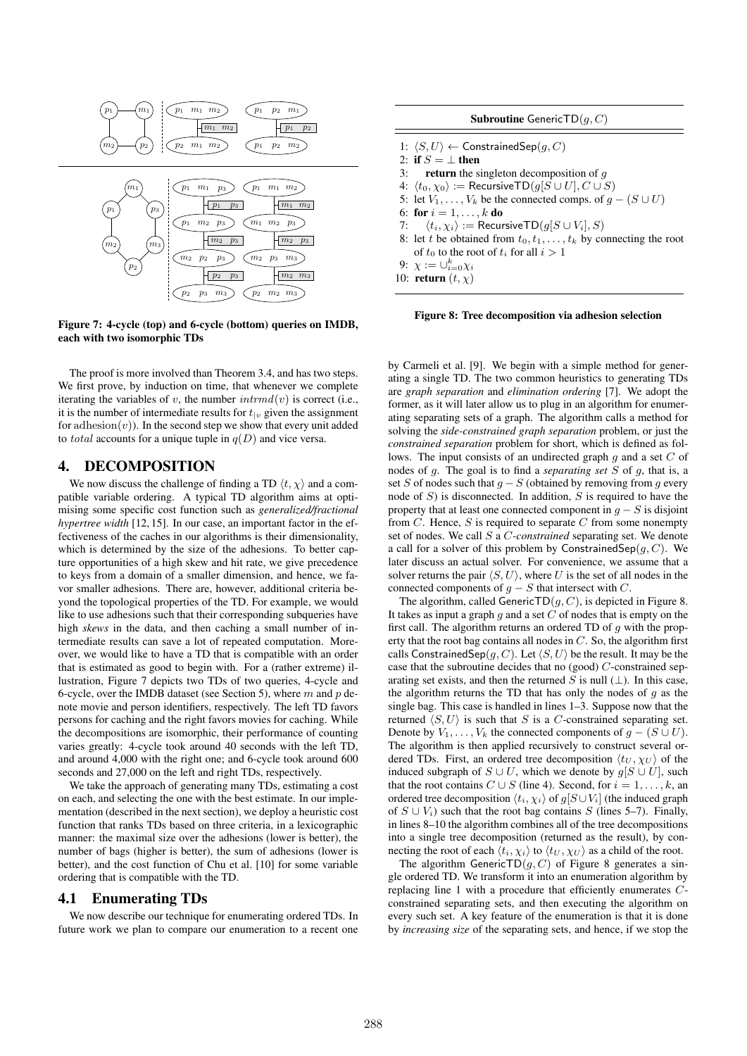

Figure 7: 4-cycle (top) and 6-cycle (bottom) queries on IMDB, each with two isomorphic TDs

The proof is more involved than Theorem 3.4, and has two steps. We first prove, by induction on time, that whenever we complete iterating the variables of v, the number  $\text{intrnd}(v)$  is correct (i.e., it is the number of intermediate results for  $t_{1v}$  given the assignment for adhesion $(v)$ ). In the second step we show that every unit added to *total* accounts for a unique tuple in  $q(D)$  and vice versa.

# 4. DECOMPOSITION

We now discuss the challenge of finding a TD  $\langle t, \chi \rangle$  and a compatible variable ordering. A typical TD algorithm aims at optimising some specific cost function such as *generalized/fractional hypertree width* [12, 15]. In our case, an important factor in the effectiveness of the caches in our algorithms is their dimensionality, which is determined by the size of the adhesions. To better capture opportunities of a high skew and hit rate, we give precedence to keys from a domain of a smaller dimension, and hence, we favor smaller adhesions. There are, however, additional criteria beyond the topological properties of the TD. For example, we would like to use adhesions such that their corresponding subqueries have high *skews* in the data, and then caching a small number of intermediate results can save a lot of repeated computation. Moreover, we would like to have a TD that is compatible with an order that is estimated as good to begin with. For a (rather extreme) illustration, Figure 7 depicts two TDs of two queries, 4-cycle and 6-cycle, over the IMDB dataset (see Section 5), where  $m$  and  $p$  denote movie and person identifiers, respectively. The left TD favors persons for caching and the right favors movies for caching. While the decompositions are isomorphic, their performance of counting varies greatly: 4-cycle took around 40 seconds with the left TD, and around 4,000 with the right one; and 6-cycle took around 600 seconds and 27,000 on the left and right TDs, respectively.

We take the approach of generating many TDs, estimating a cost on each, and selecting the one with the best estimate. In our implementation (described in the next section), we deploy a heuristic cost function that ranks TDs based on three criteria, in a lexicographic manner: the maximal size over the adhesions (lower is better), the number of bags (higher is better), the sum of adhesions (lower is better), and the cost function of Chu et al. [10] for some variable ordering that is compatible with the TD.

#### 4.1 Enumerating TDs

We now describe our technique for enumerating ordered TDs. In future work we plan to compare our enumeration to a recent one

| <b>Subroutine</b> GenericTD(q, C)                                           |
|-----------------------------------------------------------------------------|
| 1: $\langle S, U \rangle \leftarrow$ Constrained Sep $(q, C)$               |
| 2: if $S = \perp$ then                                                      |
| 3: <b>return</b> the singleton decomposition of q                           |
| 4: $\langle t_0, \chi_0 \rangle :=$ Recursive TD( $q[S \cup U], C \cup S$ ) |
| 5: let $V_1, \ldots, V_k$ be the connected comps. of $q - (S \cup U)$       |
| 6: for $i = 1, , k$ do                                                      |
| 7: $\langle t_i, \chi_i \rangle := \text{RecursiveTD}(q[S \cup V_i], S)$    |
| 8: let t be obtained from $t_0, t_1, \ldots, t_k$ by connecting the root    |
| of $t_0$ to the root of $t_i$ for all $i > 1$                               |
| 9: $\chi := \bigcup_{i=0}^{k} \chi_i$                                       |
| 10: return $(t, \chi)$                                                      |

Figure 8: Tree decomposition via adhesion selection

by Carmeli et al. [9]. We begin with a simple method for generating a single TD. The two common heuristics to generating TDs are *graph separation* and *elimination ordering* [7]. We adopt the former, as it will later allow us to plug in an algorithm for enumerating separating sets of a graph. The algorithm calls a method for solving the *side-constrained graph separation* problem, or just the *constrained separation* problem for short, which is defined as follows. The input consists of an undirected graph  $q$  and a set  $C$  of nodes of g. The goal is to find a *separating set* S of g, that is, a set S of nodes such that  $g - S$  (obtained by removing from g every node of  $S$ ) is disconnected. In addition,  $S$  is required to have the property that at least one connected component in  $g - S$  is disjoint from  $C$ . Hence,  $S$  is required to separate  $C$  from some nonempty set of nodes. We call S a C*-constrained* separating set. We denote a call for a solver of this problem by ConstrainedSep $(q, C)$ . We later discuss an actual solver. For convenience, we assume that a solver returns the pair  $\langle S, U \rangle$ , where U is the set of all nodes in the connected components of  $g - S$  that intersect with C.

The algorithm, called GenericTD $(g, C)$ , is depicted in Figure 8. It takes as input a graph q and a set  $C$  of nodes that is empty on the first call. The algorithm returns an ordered TD of  $q$  with the property that the root bag contains all nodes in  $C$ . So, the algorithm first calls ConstrainedSep $(q, C)$ . Let  $\langle S, U \rangle$  be the result. It may be the case that the subroutine decides that no (good)  $C$ -constrained separating set exists, and then the returned S is null  $(\perp)$ . In this case, the algorithm returns the TD that has only the nodes of  $q$  as the single bag. This case is handled in lines 1–3. Suppose now that the returned  $\langle S, U \rangle$  is such that S is a C-constrained separating set. Denote by  $V_1, \ldots, V_k$  the connected components of  $g - (S \cup U)$ . The algorithm is then applied recursively to construct several ordered TDs. First, an ordered tree decomposition  $\langle t_U, \chi_U \rangle$  of the induced subgraph of  $S \cup U$ , which we denote by  $g[S \cup U]$ , such that the root contains  $C \cup S$  (line 4). Second, for  $i = 1, \ldots, k$ , an ordered tree decomposition  $\langle t_i, \chi_i \rangle$  of  $g[S \cup V_i]$  (the induced graph of  $S \cup V_i$ ) such that the root bag contains S (lines 5–7). Finally, in lines 8–10 the algorithm combines all of the tree decompositions into a single tree decomposition (returned as the result), by connecting the root of each  $\langle t_i, \chi_i \rangle$  to  $\langle t_U, \chi_U \rangle$  as a child of the root.

The algorithm GenericTD $(g, C)$  of Figure 8 generates a single ordered TD. We transform it into an enumeration algorithm by replacing line 1 with a procedure that efficiently enumerates Cconstrained separating sets, and then executing the algorithm on every such set. A key feature of the enumeration is that it is done by *increasing size* of the separating sets, and hence, if we stop the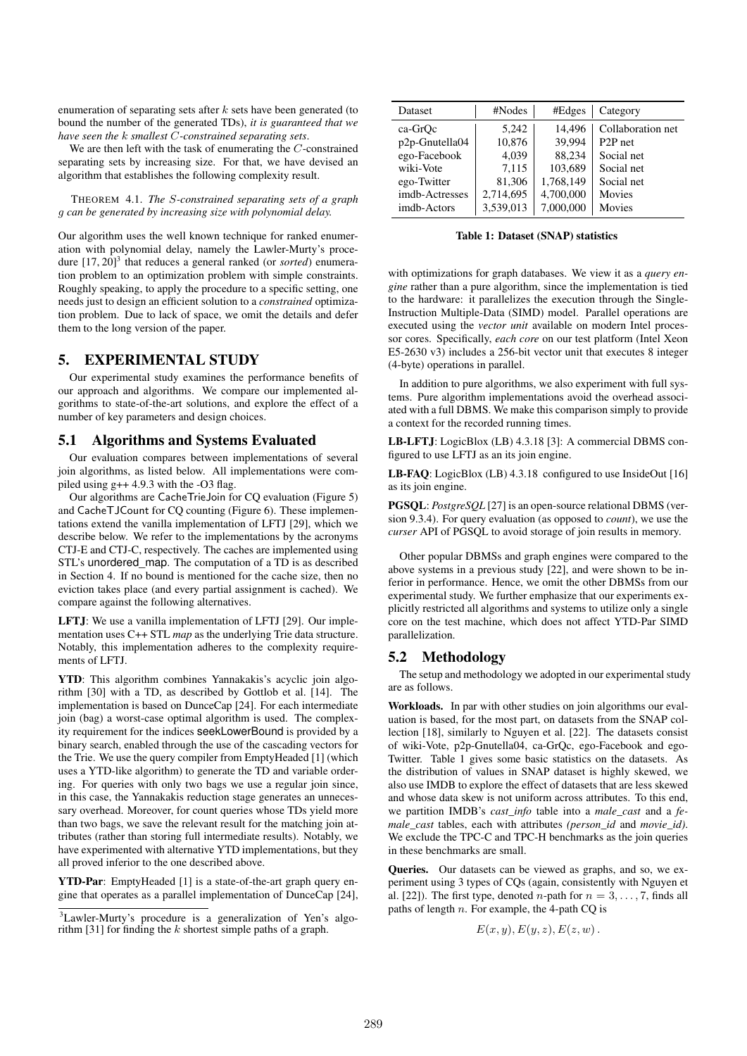enumeration of separating sets after  $k$  sets have been generated (to bound the number of the generated TDs), *it is guaranteed that we have seen the* k *smallest* C*-constrained separating sets*.

We are then left with the task of enumerating the C-constrained separating sets by increasing size. For that, we have devised an algorithm that establishes the following complexity result.

THEOREM 4.1. *The* S*-constrained separating sets of a graph* g *can be generated by increasing size with polynomial delay.*

Our algorithm uses the well known technique for ranked enumeration with polynomial delay, namely the Lawler-Murty's procedure [17, 20]<sup>3</sup> that reduces a general ranked (or *sorted*) enumeration problem to an optimization problem with simple constraints. Roughly speaking, to apply the procedure to a specific setting, one needs just to design an efficient solution to a *constrained* optimization problem. Due to lack of space, we omit the details and defer them to the long version of the paper.

# 5. EXPERIMENTAL STUDY

Our experimental study examines the performance benefits of our approach and algorithms. We compare our implemented algorithms to state-of-the-art solutions, and explore the effect of a number of key parameters and design choices.

## 5.1 Algorithms and Systems Evaluated

Our evaluation compares between implementations of several join algorithms, as listed below. All implementations were compiled using  $g++ 4.9.3$  with the -O3 flag.

Our algorithms are CacheTrieJoin for CQ evaluation (Figure 5) and CacheTJCount for CQ counting (Figure 6). These implementations extend the vanilla implementation of LFTJ [29], which we describe below. We refer to the implementations by the acronyms CTJ-E and CTJ-C, respectively. The caches are implemented using STL's unordered\_map. The computation of a TD is as described in Section 4. If no bound is mentioned for the cache size, then no eviction takes place (and every partial assignment is cached). We compare against the following alternatives.

LFTJ: We use a vanilla implementation of LFTJ [29]. Our implementation uses C++ STL *map* as the underlying Trie data structure. Notably, this implementation adheres to the complexity requirements of LFTJ.

YTD: This algorithm combines Yannakakis's acyclic join algorithm [30] with a TD, as described by Gottlob et al. [14]. The implementation is based on DunceCap [24]. For each intermediate join (bag) a worst-case optimal algorithm is used. The complexity requirement for the indices seekLowerBound is provided by a binary search, enabled through the use of the cascading vectors for the Trie. We use the query compiler from EmptyHeaded [1] (which uses a YTD-like algorithm) to generate the TD and variable ordering. For queries with only two bags we use a regular join since, in this case, the Yannakakis reduction stage generates an unnecessary overhead. Moreover, for count queries whose TDs yield more than two bags, we save the relevant result for the matching join attributes (rather than storing full intermediate results). Notably, we have experimented with alternative YTD implementations, but they all proved inferior to the one described above.

YTD-Par: EmptyHeaded [1] is a state-of-the-art graph query engine that operates as a parallel implementation of DunceCap [24],

| Dataset        | #Nodes    | #Edges    | Category             |
|----------------|-----------|-----------|----------------------|
| ca-GrOc        | 5.242     | 14.496    | Collaboration net    |
| p2p-Gnutella04 | 10,876    | 39,994    | P <sub>2</sub> P net |
| ego-Facebook   | 4,039     | 88.234    | Social net           |
| wiki-Vote      | 7,115     | 103,689   | Social net           |
| ego-Twitter    | 81,306    | 1,768,149 | Social net           |
| imdb-Actresses | 2,714,695 | 4,700,000 | Movies               |
| imdb-Actors    | 3,539,013 | 7,000,000 | Movies               |

Table 1: Dataset (SNAP) statistics

with optimizations for graph databases. We view it as a *query engine* rather than a pure algorithm, since the implementation is tied to the hardware: it parallelizes the execution through the Single-Instruction Multiple-Data (SIMD) model. Parallel operations are executed using the *vector unit* available on modern Intel processor cores. Specifically, *each core* on our test platform (Intel Xeon E5-2630 v3) includes a 256-bit vector unit that executes 8 integer (4-byte) operations in parallel.

In addition to pure algorithms, we also experiment with full systems. Pure algorithm implementations avoid the overhead associated with a full DBMS. We make this comparison simply to provide a context for the recorded running times.

LB-LFTJ: LogicBlox (LB) 4.3.18 [3]: A commercial DBMS configured to use LFTJ as an its join engine.

LB-FAQ: LogicBlox (LB) 4.3.18 configured to use InsideOut [16] as its join engine.

PGSQL: *PostgreSQL* [27] is an open-source relational DBMS (version 9.3.4). For query evaluation (as opposed to *count*), we use the *curser* API of PGSQL to avoid storage of join results in memory.

Other popular DBMSs and graph engines were compared to the above systems in a previous study [22], and were shown to be inferior in performance. Hence, we omit the other DBMSs from our experimental study. We further emphasize that our experiments explicitly restricted all algorithms and systems to utilize only a single core on the test machine, which does not affect YTD-Par SIMD parallelization.

## 5.2 Methodology

The setup and methodology we adopted in our experimental study are as follows.

Workloads. In par with other studies on join algorithms our evaluation is based, for the most part, on datasets from the SNAP collection [18], similarly to Nguyen et al. [22]. The datasets consist of wiki-Vote, p2p-Gnutella04, ca-GrQc, ego-Facebook and ego-Twitter. Table 1 gives some basic statistics on the datasets. As the distribution of values in SNAP dataset is highly skewed, we also use IMDB to explore the effect of datasets that are less skewed and whose data skew is not uniform across attributes. To this end, we partition IMDB's *cast\_info* table into a *male\_cast* and a *female\_cast* tables, each with attributes *(person\_id* and *movie\_id)*. We exclude the TPC-C and TPC-H benchmarks as the join queries in these benchmarks are small.

Queries. Our datasets can be viewed as graphs, and so, we experiment using 3 types of CQs (again, consistently with Nguyen et al. [22]). The first type, denoted *n*-path for  $n = 3, \ldots, 7$ , finds all paths of length  $n$ . For example, the 4-path CQ is

$$
E(x, y), E(y, z), E(z, w).
$$

<sup>3</sup>Lawler-Murty's procedure is a generalization of Yen's algorithm [31] for finding the k shortest simple paths of a graph.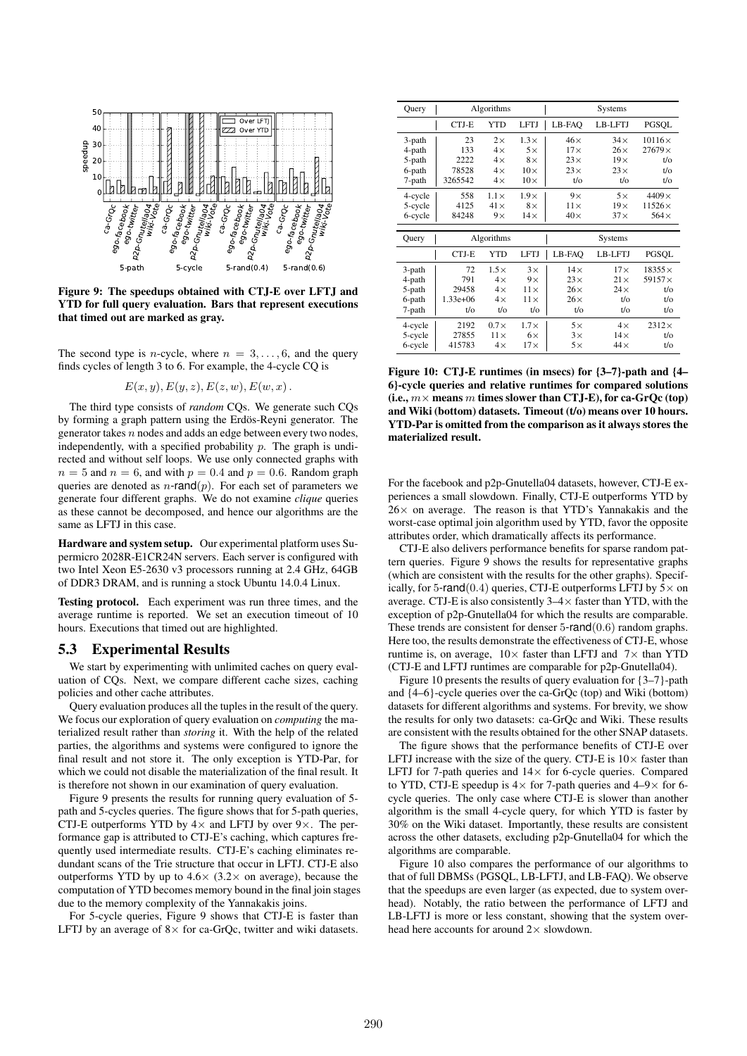

Figure 9: The speedups obtained with CTJ-E over LFTJ and YTD for full query evaluation. Bars that represent executions that timed out are marked as gray.

The second type is *n*-cycle, where  $n = 3, \ldots, 6$ , and the query finds cycles of length 3 to 6. For example, the 4-cycle CQ is

$$
E(x, y), E(y, z), E(z, w), E(w, x).
$$

The third type consists of *random* CQs. We generate such CQs by forming a graph pattern using the Erdös-Reyni generator. The generator takes  $n$  nodes and adds an edge between every two nodes, independently, with a specified probability  $p$ . The graph is undirected and without self loops. We use only connected graphs with  $n = 5$  and  $n = 6$ , and with  $p = 0.4$  and  $p = 0.6$ . Random graph queries are denoted as  $n$ -rand $(p)$ . For each set of parameters we generate four different graphs. We do not examine *clique* queries as these cannot be decomposed, and hence our algorithms are the same as LFTJ in this case.

Hardware and system setup. Our experimental platform uses Supermicro 2028R-E1CR24N servers. Each server is configured with two Intel Xeon E5-2630 v3 processors running at 2.4 GHz, 64GB of DDR3 DRAM, and is running a stock Ubuntu 14.0.4 Linux.

Testing protocol. Each experiment was run three times, and the average runtime is reported. We set an execution timeout of 10 hours. Executions that timed out are highlighted.

## 5.3 Experimental Results

We start by experimenting with unlimited caches on query evaluation of CQs. Next, we compare different cache sizes, caching policies and other cache attributes.

Query evaluation produces all the tuples in the result of the query. We focus our exploration of query evaluation on *computing* the materialized result rather than *storing* it. With the help of the related parties, the algorithms and systems were configured to ignore the final result and not store it. The only exception is YTD-Par, for which we could not disable the materialization of the final result. It is therefore not shown in our examination of query evaluation.

Figure 9 presents the results for running query evaluation of 5 path and 5-cycles queries. The figure shows that for 5-path queries, CTJ-E outperforms YTD by  $4 \times$  and LFTJ by over  $9 \times$ . The performance gap is attributed to CTJ-E's caching, which captures frequently used intermediate results. CTJ-E's caching eliminates redundant scans of the Trie structure that occur in LFTJ. CTJ-E also outperforms YTD by up to  $4.6 \times (3.2 \times \text{on average})$ , because the computation of YTD becomes memory bound in the final join stages due to the memory complexity of the Yannakakis joins.

For 5-cycle queries, Figure 9 shows that CTJ-E is faster than LFTJ by an average of  $8 \times$  for ca-GrOc, twitter and wiki datasets.

| Query   |            | Algorithms  |             |               | Systems       |               |
|---------|------------|-------------|-------------|---------------|---------------|---------------|
|         | CTJ-E      | <b>YTD</b>  | <b>LFTJ</b> | LB-FAO        | LB-LFTJ       | PGSQL         |
| 3-path  | 23         | $2\times$   | $1.3\times$ | $46\times$    | $34\times$    | $10116\times$ |
| 4-path  | 133        | $4\times$   | $5\times$   | $17\times$    | $26\times$    | $27679\times$ |
| 5-path  | 2222       | $4\times$   | $8\times$   | $23\times$    | $19\times$    | $t$ /o        |
| 6-path  | 78528      | $4\times$   | $10\times$  | $23\times$    | $23\times$    | $t$ /o        |
| 7-path  | 3265542    | $4\times$   | $10\times$  | $t$ / $\circ$ | $t$ / $\circ$ | $t$ /o        |
| 4-cycle | 558        | $1.1\times$ | $1.9\times$ | $9\times$     | $5\times$     | $4409\times$  |
| 5-cycle | 4125       | $41\times$  | $8\times$   | $11\times$    | $19\times$    | $11526\times$ |
| 6-cycle | 84248      | $9\times$   | $14\times$  | $40\times$    | $37\times$    | $564\times$   |
|         |            |             |             |               |               |               |
|         |            |             |             |               |               |               |
| Query   |            | Algorithms  |             |               | Systems       |               |
|         | CTJ-E      | <b>YTD</b>  | <b>LFTJ</b> | LB-FAO        | LB-LFTJ       | PGSQL         |
| 3-path  | 72         | $1.5\times$ | $3\times$   | $14\times$    | $17\times$    | $18355\times$ |
| 4-path  | 791        | $4\times$   | $9\times$   | $23\times$    | $21\times$    | $59157\times$ |
| 5-path  | 29458      | $4\times$   | $11\times$  | $26\times$    | $24\times$    | $t$ /o        |
| 6-path  | $1.33e+06$ | $4\times$   | $11\times$  | $26\times$    | $t$ / $\circ$ | $t$ /o        |
| 7-path  | t/o        | $t$ /o      | t/o         | t/o           | $t$ / $\circ$ | $t$ /o        |
| 4-cycle | 2192       | $0.7\times$ | $1.7\times$ | $5\times$     | $4\times$     | $2312\times$  |
| 5-cycle | 27855      | $11\times$  | $6\times$   | $3\times$     | $14\times$    | $t$ /o        |

Figure 10: CTJ-E runtimes (in msecs) for {3–7}-path and {4– 6}-cycle queries and relative runtimes for compared solutions (i.e.,  $m \times$  means m times slower than CTJ-E), for ca-GrOc (top) and Wiki (bottom) datasets. Timeout (t/o) means over 10 hours. YTD-Par is omitted from the comparison as it always stores the materialized result.

For the facebook and p2p-Gnutella04 datasets, however, CTJ-E experiences a small slowdown. Finally, CTJ-E outperforms YTD by  $26 \times$  on average. The reason is that YTD's Yannakakis and the worst-case optimal join algorithm used by YTD, favor the opposite attributes order, which dramatically affects its performance.

CTJ-E also delivers performance benefits for sparse random pattern queries. Figure 9 shows the results for representative graphs (which are consistent with the results for the other graphs). Specifically, for 5-rand(0.4) queries, CTJ-E outperforms LFTJ by  $5\times$  on average. CTJ-E is also consistently  $3-4\times$  faster than YTD, with the exception of p2p-Gnutella04 for which the results are comparable. These trends are consistent for denser  $5$ -rand $(0.6)$  random graphs. Here too, the results demonstrate the effectiveness of CTJ-E, whose runtime is, on average,  $10 \times$  faster than LFTJ and  $7 \times$  than YTD (CTJ-E and LFTJ runtimes are comparable for p2p-Gnutella04).

Figure 10 presents the results of query evaluation for {3–7}-path and {4–6}-cycle queries over the ca-GrQc (top) and Wiki (bottom) datasets for different algorithms and systems. For brevity, we show the results for only two datasets: ca-GrQc and Wiki. These results are consistent with the results obtained for the other SNAP datasets.

The figure shows that the performance benefits of CTJ-E over LFTJ increase with the size of the query. CTJ-E is  $10\times$  faster than LFTJ for 7-path queries and  $14\times$  for 6-cycle queries. Compared to YTD, CTJ-E speedup is  $4 \times$  for 7-path queries and  $4-9 \times$  for 6cycle queries. The only case where CTJ-E is slower than another algorithm is the small 4-cycle query, for which YTD is faster by 30% on the Wiki dataset. Importantly, these results are consistent across the other datasets, excluding p2p-Gnutella04 for which the algorithms are comparable.

Figure 10 also compares the performance of our algorithms to that of full DBMSs (PGSQL, LB-LFTJ, and LB-FAQ). We observe that the speedups are even larger (as expected, due to system overhead). Notably, the ratio between the performance of LFTJ and LB-LFTJ is more or less constant, showing that the system overhead here accounts for around  $2 \times$  slowdown.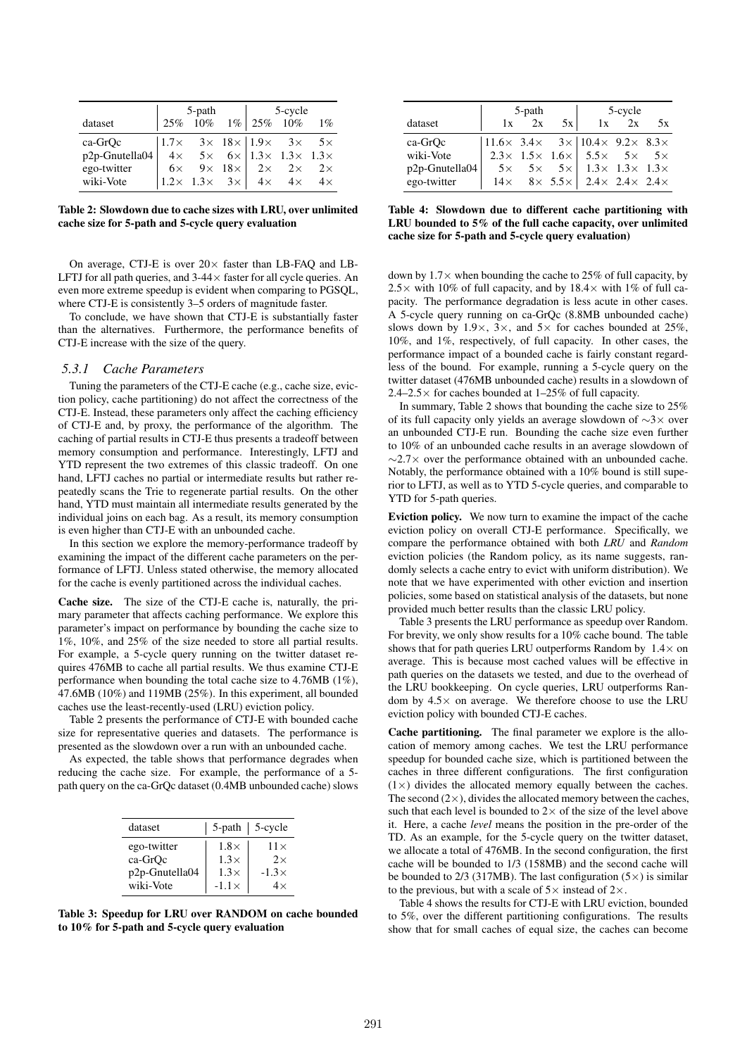|                   |                                                                                                                                                                                                                                                                               | 5-path                |  | 5-cycle |  |
|-------------------|-------------------------------------------------------------------------------------------------------------------------------------------------------------------------------------------------------------------------------------------------------------------------------|-----------------------|--|---------|--|
| dataset           |                                                                                                                                                                                                                                                                               | 25% 10% 1% 25% 10% 1% |  |         |  |
| ca-GrQc           | $\begin{array}{ rcll } \hline 1.7 \times & 3 \times & 18 \times & 1.9 \times & 3 \times & 5 \times \\ \hline 4 \times & 5 \times & 6 \times & 1.3 \times & 1.3 \times & 1.3 \times \\ 6 \times & 9 \times & 18 \times & 2 \times & 2 \times & 2 \times \\ \hline \end{array}$ |                       |  |         |  |
| $p2p$ -Gnutella04 |                                                                                                                                                                                                                                                                               |                       |  |         |  |
| ego-twitter       |                                                                                                                                                                                                                                                                               |                       |  |         |  |
| wiki-Vote         | $\begin{vmatrix} 1.2 \times & 1.3 \times & 3 \times \end{vmatrix}$ 4x 4x 4x                                                                                                                                                                                                   |                       |  |         |  |

Table 2: Slowdown due to cache sizes with LRU, over unlimited cache size for 5-path and 5-cycle query evaluation

On average, CTJ-E is over  $20 \times$  faster than LB-FAQ and LB-LFTJ for all path queries, and  $3-44 \times$  faster for all cycle queries. An even more extreme speedup is evident when comparing to PGSQL, where CTJ-E is consistently 3–5 orders of magnitude faster.

To conclude, we have shown that CTJ-E is substantially faster than the alternatives. Furthermore, the performance benefits of CTJ-E increase with the size of the query.

## *5.3.1 Cache Parameters*

Tuning the parameters of the CTJ-E cache (e.g., cache size, eviction policy, cache partitioning) do not affect the correctness of the CTJ-E. Instead, these parameters only affect the caching efficiency of CTJ-E and, by proxy, the performance of the algorithm. The caching of partial results in CTJ-E thus presents a tradeoff between memory consumption and performance. Interestingly, LFTJ and YTD represent the two extremes of this classic tradeoff. On one hand, LFTJ caches no partial or intermediate results but rather repeatedly scans the Trie to regenerate partial results. On the other hand, YTD must maintain all intermediate results generated by the individual joins on each bag. As a result, its memory consumption is even higher than CTJ-E with an unbounded cache.

In this section we explore the memory-performance tradeoff by examining the impact of the different cache parameters on the performance of LFTJ. Unless stated otherwise, the memory allocated for the cache is evenly partitioned across the individual caches.

Cache size. The size of the CTJ-E cache is, naturally, the primary parameter that affects caching performance. We explore this parameter's impact on performance by bounding the cache size to 1%, 10%, and 25% of the size needed to store all partial results. For example, a 5-cycle query running on the twitter dataset requires 476MB to cache all partial results. We thus examine CTJ-E performance when bounding the total cache size to 4.76MB (1%), 47.6MB (10%) and 119MB (25%). In this experiment, all bounded caches use the least-recently-used (LRU) eviction policy.

Table 2 presents the performance of CTJ-E with bounded cache size for representative queries and datasets. The performance is presented as the slowdown over a run with an unbounded cache.

As expected, the table shows that performance degrades when reducing the cache size. For example, the performance of a 5 path query on the ca-GrQc dataset (0.4MB unbounded cache) slows

| dataset        |              | $5$ -path   $5$ -cycle |
|----------------|--------------|------------------------|
| ego-twitter    | $1.8\times$  | $11\times$             |
| ca-GrOc        | $1.3\times$  | 2x                     |
| p2p-Gnutella04 | $1.3\times$  | $-1.3\times$           |
| wiki-Vote      | $-1.1\times$ | $4\times$              |

Table 3: Speedup for LRU over RANDOM on cache bounded to 10% for 5-path and 5-cycle query evaluation

|                |                                                                       | 5-path |    |                                                                  | 5-cycle |    |  |  |
|----------------|-----------------------------------------------------------------------|--------|----|------------------------------------------------------------------|---------|----|--|--|
| dataset        | 1x                                                                    | 2x     | 5x | 1x                                                               | 2x      | 5x |  |  |
| ca-GrQc        | $ 11.6 \times 3.4 \times 3 \times  10.4 \times 9.2 \times 8.3 \times$ |        |    |                                                                  |         |    |  |  |
| wiki-Vote      |                                                                       |        |    | $2.3 \times 1.5 \times 1.6 \times 5.5 \times 5 \times 5 \times$  |         |    |  |  |
| p2p-Gnutella04 |                                                                       |        |    | $5 \times 5 \times 5 \times 1.3 \times 1.3 \times 1.3 \times$    |         |    |  |  |
| ego-twitter    |                                                                       |        |    | $14 \times 8 \times 5.5 \times 2.4 \times 2.4 \times 2.4 \times$ |         |    |  |  |

Table 4: Slowdown due to different cache partitioning with LRU bounded to 5% of the full cache capacity, over unlimited cache size for 5-path and 5-cycle query evaluation)

down by  $1.7\times$  when bounding the cache to 25% of full capacity, by  $2.5\times$  with 10% of full capacity, and by 18.4 $\times$  with 1% of full capacity. The performance degradation is less acute in other cases. A 5-cycle query running on ca-GrQc (8.8MB unbounded cache) slows down by  $1.9 \times$ ,  $3 \times$ , and  $5 \times$  for caches bounded at 25%. 10%, and 1%, respectively, of full capacity. In other cases, the performance impact of a bounded cache is fairly constant regardless of the bound. For example, running a 5-cycle query on the twitter dataset (476MB unbounded cache) results in a slowdown of  $2.4-2.5\times$  for caches bounded at  $1-25\%$  of full capacity.

In summary, Table 2 shows that bounding the cache size to 25% of its full capacity only yields an average slowdown of ∼3× over an unbounded CTJ-E run. Bounding the cache size even further to 10% of an unbounded cache results in an average slowdown of ∼2.7× over the performance obtained with an unbounded cache. Notably, the performance obtained with a 10% bound is still superior to LFTJ, as well as to YTD 5-cycle queries, and comparable to YTD for 5-path queries.

Eviction policy. We now turn to examine the impact of the cache eviction policy on overall CTJ-E performance. Specifically, we compare the performance obtained with both *LRU* and *Random* eviction policies (the Random policy, as its name suggests, randomly selects a cache entry to evict with uniform distribution). We note that we have experimented with other eviction and insertion policies, some based on statistical analysis of the datasets, but none provided much better results than the classic LRU policy.

Table 3 presents the LRU performance as speedup over Random. For brevity, we only show results for a 10% cache bound. The table shows that for path queries LRU outperforms Random by  $1.4 \times$  on average. This is because most cached values will be effective in path queries on the datasets we tested, and due to the overhead of the LRU bookkeeping. On cycle queries, LRU outperforms Random by  $4.5\times$  on average. We therefore choose to use the LRU eviction policy with bounded CTJ-E caches.

Cache partitioning. The final parameter we explore is the allocation of memory among caches. We test the LRU performance speedup for bounded cache size, which is partitioned between the caches in three different configurations. The first configuration  $(1\times)$  divides the allocated memory equally between the caches. The second  $(2\times)$ , divides the allocated memory between the caches, such that each level is bounded to  $2 \times$  of the size of the level above it. Here, a cache *level* means the position in the pre-order of the TD. As an example, for the 5-cycle query on the twitter dataset, we allocate a total of 476MB. In the second configuration, the first cache will be bounded to 1/3 (158MB) and the second cache will be bounded to 2/3 (317MB). The last configuration ( $5 \times$ ) is similar to the previous, but with a scale of  $5\times$  instead of  $2\times$ .

Table 4 shows the results for CTJ-E with LRU eviction, bounded to 5%, over the different partitioning configurations. The results show that for small caches of equal size, the caches can become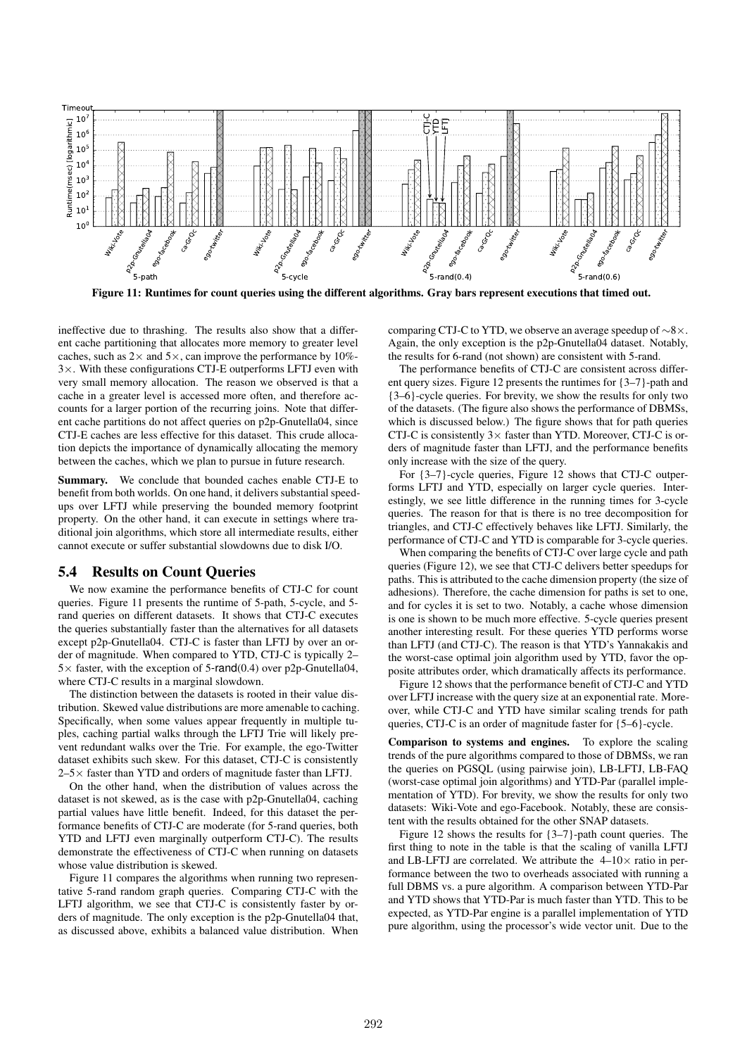

Figure 11: Runtimes for count queries using the different algorithms. Gray bars represent executions that timed out.

ineffective due to thrashing. The results also show that a different cache partitioning that allocates more memory to greater level caches, such as  $2 \times$  and  $5 \times$ , can improve the performance by 10%- $3\times$ . With these configurations CTJ-E outperforms LFTJ even with very small memory allocation. The reason we observed is that a cache in a greater level is accessed more often, and therefore accounts for a larger portion of the recurring joins. Note that different cache partitions do not affect queries on p2p-Gnutella04, since CTJ-E caches are less effective for this dataset. This crude allocation depicts the importance of dynamically allocating the memory between the caches, which we plan to pursue in future research.

Summary. We conclude that bounded caches enable CTJ-E to benefit from both worlds. On one hand, it delivers substantial speedups over LFTJ while preserving the bounded memory footprint property. On the other hand, it can execute in settings where traditional join algorithms, which store all intermediate results, either cannot execute or suffer substantial slowdowns due to disk I/O.

## 5.4 Results on Count Queries

We now examine the performance benefits of CTJ-C for count queries. Figure 11 presents the runtime of 5-path, 5-cycle, and 5 rand queries on different datasets. It shows that CTJ-C executes the queries substantially faster than the alternatives for all datasets except p2p-Gnutella04. CTJ-C is faster than LFTJ by over an order of magnitude. When compared to YTD, CTJ-C is typically 2–  $5\times$  faster, with the exception of 5-rand(0.4) over p2p-Gnutella04, where CTJ-C results in a marginal slowdown.

The distinction between the datasets is rooted in their value distribution. Skewed value distributions are more amenable to caching. Specifically, when some values appear frequently in multiple tuples, caching partial walks through the LFTJ Trie will likely prevent redundant walks over the Trie. For example, the ego-Twitter dataset exhibits such skew. For this dataset, CTJ-C is consistently  $2-5\times$  faster than YTD and orders of magnitude faster than LFTJ.

On the other hand, when the distribution of values across the dataset is not skewed, as is the case with p2p-Gnutella04, caching partial values have little benefit. Indeed, for this dataset the performance benefits of CTJ-C are moderate (for 5-rand queries, both YTD and LFTJ even marginally outperform CTJ-C). The results demonstrate the effectiveness of CTJ-C when running on datasets whose value distribution is skewed.

Figure 11 compares the algorithms when running two representative 5-rand random graph queries. Comparing CTJ-C with the LFTJ algorithm, we see that CTJ-C is consistently faster by orders of magnitude. The only exception is the p2p-Gnutella04 that, as discussed above, exhibits a balanced value distribution. When comparing CTJ-C to YTD, we observe an average speedup of ∼8×. Again, the only exception is the p2p-Gnutella04 dataset. Notably, the results for 6-rand (not shown) are consistent with 5-rand.

The performance benefits of CTJ-C are consistent across different query sizes. Figure 12 presents the runtimes for {3–7}-path and {3–6}-cycle queries. For brevity, we show the results for only two of the datasets. (The figure also shows the performance of DBMSs, which is discussed below.) The figure shows that for path queries CTJ-C is consistently  $3\times$  faster than YTD. Moreover, CTJ-C is orders of magnitude faster than LFTJ, and the performance benefits only increase with the size of the query.

For {3–7}-cycle queries, Figure 12 shows that CTJ-C outperforms LFTJ and YTD, especially on larger cycle queries. Interestingly, we see little difference in the running times for 3-cycle queries. The reason for that is there is no tree decomposition for triangles, and CTJ-C effectively behaves like LFTJ. Similarly, the performance of CTJ-C and YTD is comparable for 3-cycle queries.

When comparing the benefits of CTJ-C over large cycle and path queries (Figure 12), we see that CTJ-C delivers better speedups for paths. This is attributed to the cache dimension property (the size of adhesions). Therefore, the cache dimension for paths is set to one, and for cycles it is set to two. Notably, a cache whose dimension is one is shown to be much more effective. 5-cycle queries present another interesting result. For these queries YTD performs worse than LFTJ (and CTJ-C). The reason is that YTD's Yannakakis and the worst-case optimal join algorithm used by YTD, favor the opposite attributes order, which dramatically affects its performance.

Figure 12 shows that the performance benefit of CTJ-C and YTD over LFTJ increase with the query size at an exponential rate. Moreover, while CTJ-C and YTD have similar scaling trends for path queries, CTJ-C is an order of magnitude faster for {5–6}-cycle.

Comparison to systems and engines. To explore the scaling trends of the pure algorithms compared to those of DBMSs, we ran the queries on PGSQL (using pairwise join), LB-LFTJ, LB-FAQ (worst-case optimal join algorithms) and YTD-Par (parallel implementation of YTD). For brevity, we show the results for only two datasets: Wiki-Vote and ego-Facebook. Notably, these are consistent with the results obtained for the other SNAP datasets.

Figure 12 shows the results for {3–7}-path count queries. The first thing to note in the table is that the scaling of vanilla LFTJ and LB-LFTJ are correlated. We attribute the  $4-10\times$  ratio in performance between the two to overheads associated with running a full DBMS vs. a pure algorithm. A comparison between YTD-Par and YTD shows that YTD-Par is much faster than YTD. This to be expected, as YTD-Par engine is a parallel implementation of YTD pure algorithm, using the processor's wide vector unit. Due to the